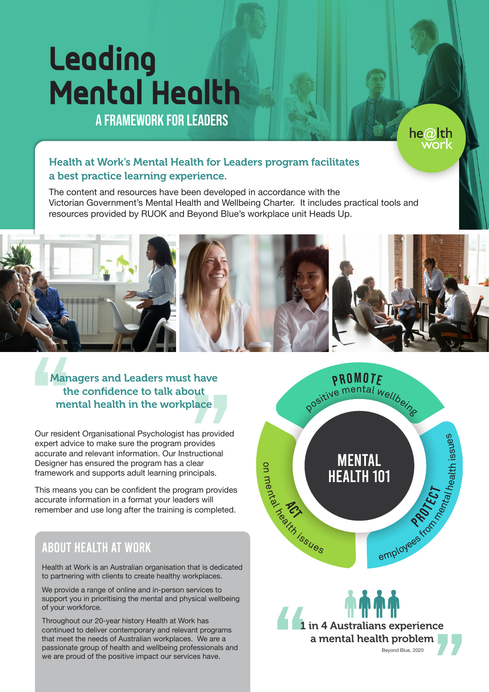# **Leading Mental Health**

A framework for leaders

# Health at Work's Mental Health for Leaders program facilitates a best practice learning experience.

The content and resources have been developed in accordance with the Victorian Government's Mental Health and Wellbeing Charter. It includes practical tools and resources provided by RUOK and Beyond Blue's workplace unit Heads Up.



Managers and Leaders must have the confidence to talk about mental health in the workplace

Our resident Organisational Psychologist has provided expert advice to make sure the program provides accurate and relevant information. Our Instructional Designer has ensured the program has a clear framework and supports adult learning principals.

This means you can be confident the program provides accurate information in a format your leaders will remember and use long after the training is completed.

# About Health at Work

Health at Work is an Australian organisation that is dedicated to partnering with clients to create healthy workplaces.

We provide a range of online and in-person services to support you in prioritising the mental and physical wellbeing of your workforce.

Throughout our 20-year history Health at Work has continued to deliver contemporary and relevant programs that meet the needs of Australian workplaces. We are a passionate group of health and wellbeing professionals and we are proud of the positive impact our services have.



he@lth work

1 in 4 Australians experience a mental health problem Beyond Blue, 2020